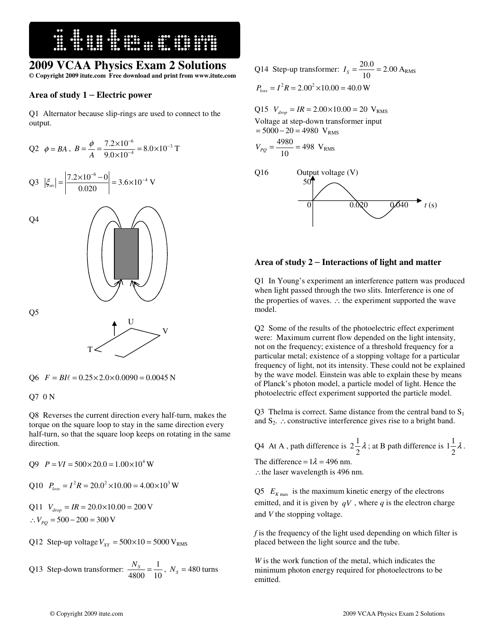

## **2009 VCAA Physics Exam 2 Solutions**

**© Copyright 2009 itute.com Free download and print from www.itute.com**

#### **Area of study 1** − **Electric power**

Q1 Alternator because slip-rings are used to connect to the output.

Q2 
$$
\phi = BA
$$
,  $B = \frac{\phi}{A} = \frac{7.2 \times 10^{-6}}{9.0 \times 10^{-4}} = 8.0 \times 10^{-3}$  T

Q3 
$$
|\xi_{av}| = \frac{7.2 \times 10^{-6} - 0}{0.020} = 3.6 \times 10^{-4} \text{ V}
$$

Q4

Q5





 $Q6$   $F = BI\ell = 0.25 \times 2.0 \times 0.0090 = 0.0045$  N

Q7 0 N

T

Q8 Reverses the current direction every half-turn, makes the torque on the square loop to stay in the same direction every half-turn, so that the square loop keeps on rotating in the same direction.

 $Q9 \quad P = VI = 500 \times 20.0 = 1.00 \times 10^4 \text{ W}$ 

Q10 
$$
P_{loss} = I^2 R = 20.0^2 \times 10.00 = 4.00 \times 10^3 W
$$

Q11 
$$
V_{drop} = IR = 20.0 \times 10.00 = 200 \text{ V}
$$
  
\n $\therefore V_{PQ} = 500 - 200 = 300 \text{ V}$ 

Q12 Step-up voltage  $V_{XY} = 500 \times 10 = 5000$   $V_{RMS}$ 

Q13 Step-down transformer: 10 1 4800  $\frac{N_s}{800} = \frac{1}{10}$ ,  $N_s = 480$  turns

Q14 Step-up transformer: 
$$
I_s = \frac{20.0}{10} = 2.00 \text{ A}_{\text{RMS}}
$$
  
 $P_{loss} = I^2 R = 2.00^2 \times 10.00 = 40.0 \text{ W}$ 

 $Q15$   $V_{drop} = IR = 2.00 \times 10.00 = 20$   $V_{RMS}$ 

Voltage at step-down transformer input  $= 5000 - 20 = 4980$  V<sub>RMS</sub>

$$
V_{PQ} = \frac{4980}{10} = 498 \text{ V}_{RMS}
$$



#### **Area of study 2** − **Interactions of light and matter**

Q1 In Young's experiment an interference pattern was produced when light passed through the two slits. Interference is one of the properties of waves. ∴ the experiment supported the wave model.

Q2 Some of the results of the photoelectric effect experiment were: Maximum current flow depended on the light intensity, not on the frequency; existence of a threshold frequency for a particular metal; existence of a stopping voltage for a particular frequency of light, not its intensity. These could not be explained by the wave model. Einstein was able to explain these by means of Planck's photon model, a particle model of light. Hence the photoelectric effect experiment supported the particle model.

Q3 Thelma is correct. Same distance from the central band to  $S_1$ and  $S_2$ . ∴ constructive interference gives rise to a bright band.

Q4 At A, path difference is  $2\frac{1}{2}\lambda$  $2\frac{1}{2}\lambda$ ; at B path difference is  $1\frac{1}{2}\lambda$  $1\frac{1}{2}\lambda$ . The difference =  $1\lambda$  = 496 nm. ∴the laser wavelength is 496 nm.

Q5  $E_{K_{\text{max}}}$  is the maximum kinetic energy of the electrons emitted, and it is given by  $qV$ , where  $q$  is the electron charge and *V* the stopping voltage.

*f* is the frequency of the light used depending on which filter is placed between the light source and the tube.

*W* is the work function of the metal, which indicates the minimum photon energy required for photoelectrons to be emitted.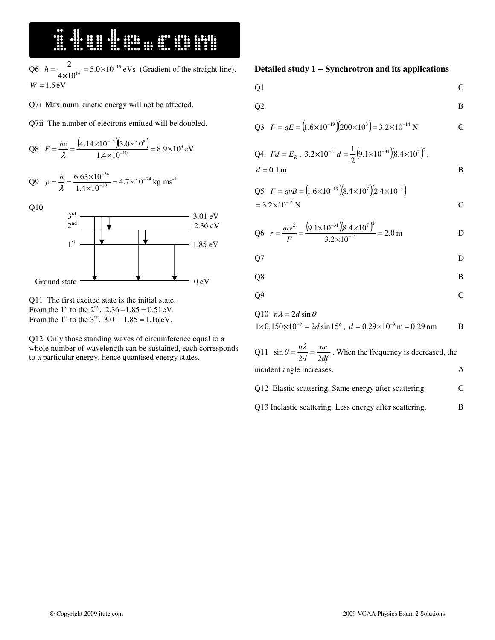#### Q6  $h = \frac{2}{4 \times 10^{14}} = 5.0 \times 10^{-15}$  $\frac{2}{10^{14}}$  = 5.0×10<sup>-</sup>  $h = \frac{2}{4 \times 10^{14}} = 5.0 \times 10^{-15}$  eVs (Gradient of the straight line).  $W = 1.5$  eV

Q7i Maximum kinetic energy will not be affected.

Q7ii The number of electrons emitted will be doubled.

$$
Q8 \tE = \frac{hc}{\lambda} = \frac{(4.14 \times 10^{-15})(3.0 \times 10^8)}{1.4 \times 10^{-10}} = 8.9 \times 10^3 \text{ eV}
$$



Q10



Q11 The first excited state is the initial state. From the  $1^{\text{st}}$  to the  $2^{\text{nd}}$ ,  $2.36 - 1.85 = 0.51 \text{ eV}$ . From the  $1^{\text{st}}$  to the  $3^{\text{rd}}$ ,  $3.01 - 1.85 = 1.16 \text{ eV}$ .

Q12 Only those standing waves of circumference equal to a whole number of wavelength can be sustained, each corresponds to a particular energy, hence quantised energy states.

#### **Detailed study 1** − **Synchrotron and its applications**

$$
Q1 \qquad C
$$

$$
Q2 \t\t B
$$

Q3 
$$
F = qE = (1.6 \times 10^{-19})(200 \times 10^3) = 3.2 \times 10^{-14} \text{ N}
$$
 C

$$
Q4 \tFd = E_K, 3.2 \times 10^{-14} d = \frac{1}{2} (9.1 \times 10^{-31}) (8.4 \times 10^7)^2,
$$
  
d = 0.1 m

Q5 
$$
F = qvB = (1.6 \times 10^{-19})(8.4 \times 10^7)(2.4 \times 10^{-4})
$$
  
= 3.2×10<sup>-15</sup> N

Q6 
$$
r = \frac{mv^2}{F} = \frac{(9.1 \times 10^{-31})(8.4 \times 10^7)^2}{3.2 \times 10^{-15}} = 2.0 \text{ m}
$$
 D

$$
Q7 \hspace{1.5cm} D
$$

$$
Q8 \t\t B
$$

$$
Q9 \t C
$$

$$
Q10 \quad n\lambda = 2d \sin \theta
$$

$$
1 \times 0.150 \times 10^{-9} = 2d \sin 15^{\circ}
$$
,  $d = 0.29 \times 10^{-9}$  m = 0.29 nm B

Q11  $\sin \theta = \frac{hc}{2d} = \frac{hc}{2dt}$ *nc d n*  $\sin \theta = \frac{n\lambda}{2d} = \frac{nc}{2df}$ . When the frequency is decreased, the incident angle increases. A Q12 Elastic scattering. Same energy after scattering. C

Q13 Inelastic scattering. Less energy after scattering. B